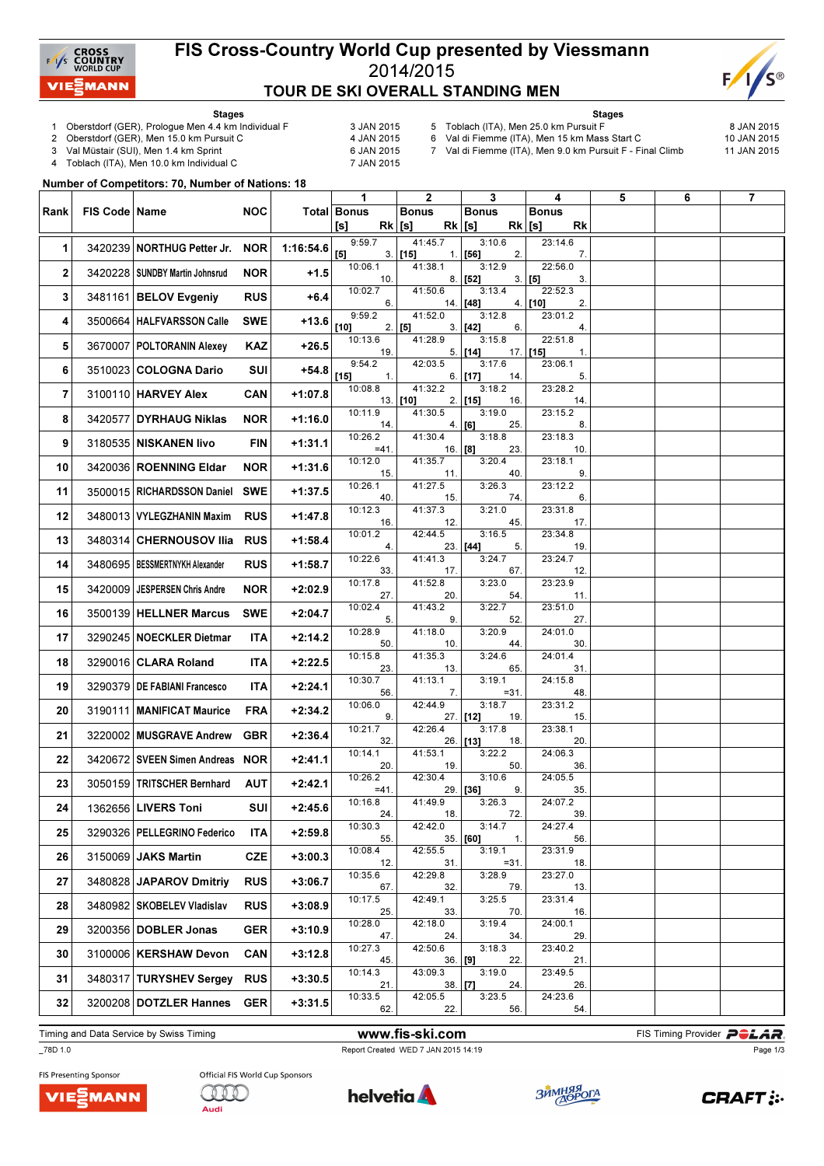

#### FIS Cross-Country World Cup presented by Viessmann 2014/2015 TOUR DE SKI OVERALL STANDING MEN



Stages

- 1 Oberstdorf (GER), Prologue Men 4.4 km Individual F 3 JAN 2015<br>2 Oberstdorf (GER), Men 15.0 km Pursuit C 4 JAN 2015
- 2 Oberstdorf (GER), Men 15.0 km Pursuit C
- 
- 3 Val Müstair (SUI), Men 1.4 km Sprint 6 JAN 2015<br>4 Toblach (ITA), Men 10.0 km Individual C 6 7 JAN 2015 Toblach (ITA), Men 10.0 km Individual C
- Stages
- 5 Toblach (ITA), Men 25.0 km Pursuit F  $\sim$  8 JAN 2015<br>6 Val di Fiemme (ITA), Men 15 km Mass Start C 10 JAN 2015 6 Val di Fiemme (ITA), Men 15 km Mass Start C
	-
- 7 Val di Fiemme (ITA), Men 9.0 km Pursuit F Final Climb 11 JAN 2015

Number of Competitors: 70, Number of Nations: 18

|              |                 |                                  |            |           | $\mathbf{1}$              | $\mathbf{2}$          | 3                          | 4                           | 5 | 6 | $\overline{7}$ |
|--------------|-----------------|----------------------------------|------------|-----------|---------------------------|-----------------------|----------------------------|-----------------------------|---|---|----------------|
| Rank         | FIS Code   Name |                                  | <b>NOC</b> |           | Total Bonus               | <b>Bonus</b>          | <b>Bonus</b>               | <b>Bonus</b>                |   |   |                |
|              |                 |                                  |            |           | [s]<br>$Rk$ [s]<br>9:59.7 | $Rk$ [s]<br>41:45.7   | 3:10.6                     | $Rk$ [s]<br>Rk<br>23:14.6   |   |   |                |
| 1            |                 | 3420239 NORTHUG Petter Jr.       | <b>NOR</b> | 1:16:54.6 | [5]                       | $3.$ [15]             | $1.$ [56]<br>2.            | 7.                          |   |   |                |
| $\mathbf{2}$ |                 | 3420228   SUNDBY Martin Johnsrud | <b>NOR</b> | $+1.5$    | 10:06.1<br>10.            | 41:38.1               | 3:12.9<br>$8.$ [52]        | 22:56.0<br>3.   [5]<br>3.   |   |   |                |
| 3            |                 | 3481161 BELOV Evgeniy            | <b>RUS</b> | $+6.4$    | 10:02.7<br>6.             | 41:50.6               | 3:13.4<br>$14.$ [48]       | 22:52.3<br>4. [10]<br>2.    |   |   |                |
| 4            |                 | 3500664   HALFVARSSON Calle      | <b>SWE</b> | $+13.6$   | 9:59.2<br>$[10]$          | 41:52.0<br>$2.$ [5]   | 3:12.8<br>$3.$ [42]<br>6.  | 23:01.2<br>4.               |   |   |                |
| 5            |                 | 3670007   POLTORANIN Alexey      | KAZ        | $+26.5$   | 10:13.6<br>19.            | 41:28.9               | 3:15.8<br>$5.$ [14]        | 22:51.8<br>$17.$ [15]<br>1. |   |   |                |
| 6            |                 | 3510023 COLOGNA Dario            | SUI        | +54.8     | 9:54.2<br>$[15]$<br>1.    | 42:03.5               | 3:17.6<br>6. [17]<br>14.   | 23:06.1<br>5.               |   |   |                |
| 7            |                 | 3100110 HARVEY Alex              | <b>CAN</b> | $+1:07.8$ | 10:08.8                   | 41:32.2<br>$13.$ [10] | 3:18.2<br>$2.$ [15]<br>16. | 23:28.2<br>14.              |   |   |                |
| 8            |                 | 3420577 DYRHAUG Niklas           | <b>NOR</b> | $+1:16.0$ | 10:11.9<br>14.            | 41:30.5               | 3:19.0<br>4. [6]<br>25.    | 23:15.2<br>8.               |   |   |                |
| 9            |                 | 3180535 NISKANEN livo            | FIN        | $+1:31.1$ | 10:26.2<br>$=41.$         | 41:30.4<br>16.   [8]  | 3:18.8<br>23.              | 23:18.3<br>10.              |   |   |                |
| 10           |                 | 3420036   ROENNING Eldar         | NOR        | $+1:31.6$ | 10:12.0<br>15.            | 41:35.7<br>11.        | 3:20.4<br>40.              | 23:18.1<br>9.               |   |   |                |
| 11           |                 | 3500015   RICHARDSSON Daniel     | <b>SWE</b> | $+1:37.5$ | 10:26.1<br>40.            | 41:27.5<br>15.        | 3:26.3<br>74.              | 23:12.2<br>6.               |   |   |                |
| 12           |                 | 3480013   VYLEGZHANIN Maxim      | <b>RUS</b> | $+1:47.8$ | 10:12.3<br>16.            | 41:37.3<br>12.        | 3:21.0<br>45.              | 23:31.8<br>17.              |   |   |                |
| 13           |                 | 3480314 CHERNOUSOV Ilia          | <b>RUS</b> | $+1:58.4$ | 10:01.2<br>4.             | 42:44.5               | 3:16.5<br>23. [44]<br>5.   | 23:34.8<br>19.              |   |   |                |
| 14           |                 | 3480695   BESSMERTNYKH Alexander | <b>RUS</b> | $+1:58.7$ | 10:22.6<br>33.            | 41:41.3<br>17.        | 3:24.7<br>67.              | 23:24.7<br>12.              |   |   |                |
| 15           |                 | 3420009 JESPERSEN Chris Andre    | <b>NOR</b> | $+2:02.9$ | 10:17.8<br>27.            | 41:52.8<br>20.        | 3:23.0<br>54.              | 23:23.9<br>11.              |   |   |                |
| 16           |                 | 3500139 HELLNER Marcus           | <b>SWE</b> | $+2:04.7$ | 10:02.4<br>5.             | 41:43.2<br>9.         | 3:22.7<br>52.              | 23:51.0<br>27.              |   |   |                |
| 17           |                 | 3290245   NOECKLER Dietmar       | ITA        | $+2:14.2$ | 10:28.9<br>50.            | 41:18.0<br>10.        | 3:20.9<br>44.              | 24:01.0<br>30.              |   |   |                |
| 18           |                 | 3290016 CLARA Roland             | ITA        | $+2:22.5$ | 10:15.8<br>23.            | 41:35.3<br>13.        | 3:24.6<br>65.              | 24:01.4<br>31.              |   |   |                |
| 19           |                 | 3290379   DE FABIANI Francesco   | ITA        | $+2:24.1$ | 10:30.7<br>56.            | 41:13.1<br>7.         | 3:19.1<br>$= 31.$          | 24:15.8<br>48.              |   |   |                |
| 20           |                 | 3190111   MANIFICAT Maurice      | FRA        | $+2:34.2$ | 10:06.0<br>9.             | 42:44.9               | 3:18.7<br>27. [12]<br>19.  | 23:31.2<br>15.              |   |   |                |
| 21           |                 | 3220002 MUSGRAVE Andrew          | <b>GBR</b> | $+2:36.4$ | 10:21.7<br>32.            | 42:26.4               | 3:17.8<br>26. [13]<br>18.  | 23:38.1<br>20.              |   |   |                |
| 22           |                 | 3420672 SVEEN Simen Andreas NOR  |            | $+2:41.1$ | 10:14.1<br>20.            | 41:53.1<br>19.        | 3:22.2<br>50.              | 24:06.3<br>36.              |   |   |                |
| 23           |                 | 3050159   TRITSCHER Bernhard     | AUT        | $+2:42.1$ | 10:26.2<br>$=41.$         | 42:30.4               | 3:10.6<br>29. [36]<br>9.   | 24:05.5<br>35.              |   |   |                |
| 24           |                 | 1362656 LIVERS Toni              | <b>SUI</b> | $+2:45.6$ | 10:16.8<br>24.            | 41:49.9<br>18.        | 3:26.3<br>72.              | 24:07.2<br>39.              |   |   |                |
| 25           |                 | 3290326   PELLEGRINO Federico    | <b>ITA</b> | $+2:59.8$ | 10:30.3<br>55.            | 42:42.0               | 3:14.7<br>$35.$ [60]<br>1. | 24:27.4<br>56.              |   |   |                |
| 26           |                 | 3150069 JAKS Martin              | <b>CZE</b> | $+3:00.3$ | 10:08.4<br>12.            | 42:55.5<br>31.        | 3:19.1<br>$= 31.$          | 23:31.9<br>18.              |   |   |                |
| 27           |                 | 3480828 JAPAROV Dmitriy          | <b>RUS</b> | $+3:06.7$ | 10:35.6<br>67.            | 42:29.8<br>32.        | 3:28.9<br>79.              | 23:27.0<br>13.              |   |   |                |
| 28           |                 | 3480982 SKOBELEV Vladislav       | <b>RUS</b> | $+3:08.9$ | 10:17.5<br>25.            | 42:49.1<br>33.        | 3:25.5<br>70.              | 23:31.4<br>16.              |   |   |                |
| 29           |                 | 3200356 DOBLER Jonas             | <b>GER</b> | $+3:10.9$ | 10:28.0<br>47.            | 42:18.0<br>24.        | 3:19.4<br>34.              | 24:00.1<br>29.              |   |   |                |
| 30           |                 | 3100006 KERSHAW Devon            | <b>CAN</b> | $+3:12.8$ | 10:27.3<br>45.            | 42:50.6<br>$36.$ [9]  | 3:18.3<br>22.              | 23:40.2<br>21.              |   |   |                |
| 31           |                 | 3480317 TURYSHEV Sergey          | <b>RUS</b> | $+3:30.5$ | 10:14.3<br>21.            | 43:09.3<br>$38.$ [7]  | 3:19.0<br>24.              | 23:49.5<br>26.              |   |   |                |
| 32           |                 | 3200208 DOTZLER Hannes           | <b>GER</b> | $+3:31.5$ | 10:33.5<br>62.            | 42:05.5<br>22.        | 3:23.5<br>56.              | 24:23.6<br>54.              |   |   |                |

Timing and Data Service by Swiss Timing **Example 20 and Service by Swiss Timing Provider PCLAR** 

# \_78D 1.0 Report Created WED 7 JAN 2015 14:19

Page 1/3







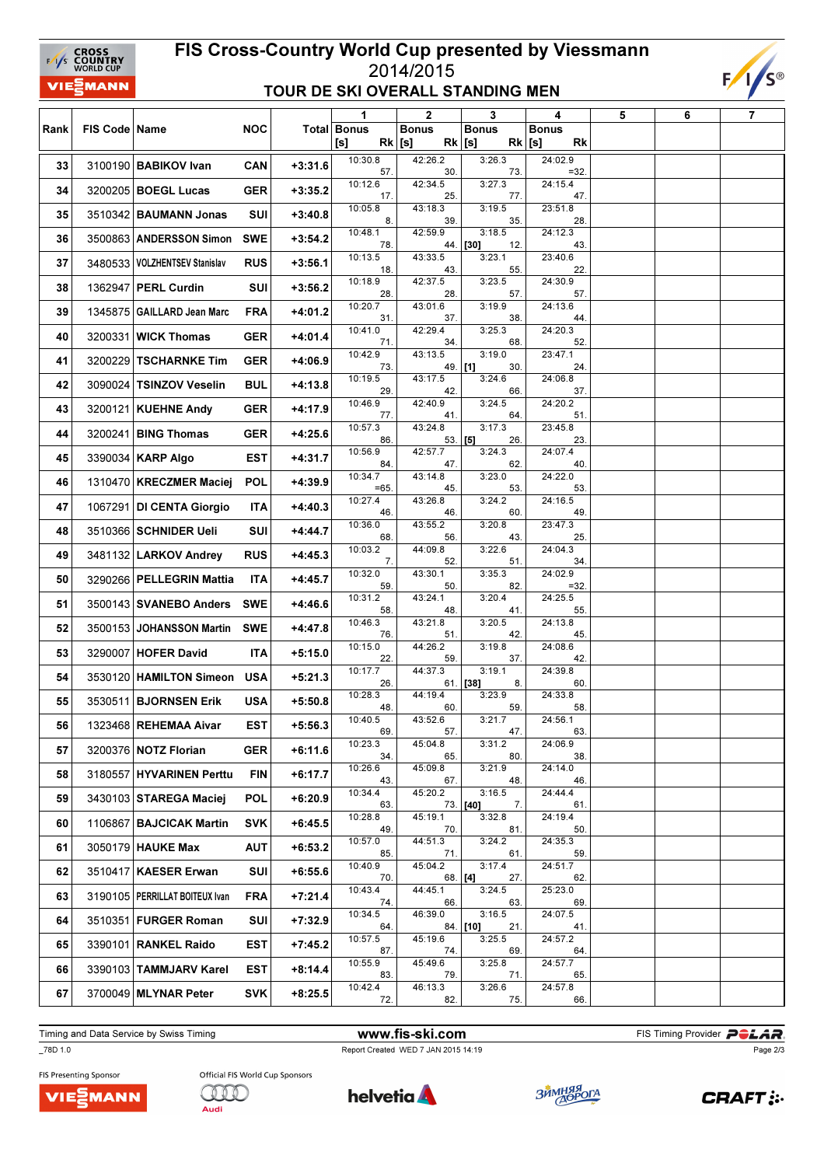### FIS Cross-Country World Cup presented by Viessmann 2014/2015 TOUR DE SKI OVERALL STANDING MEN



| <b>Total Bonus</b><br><b>NOC</b><br><b>Bonus</b><br><b>Bonus</b><br>Rank<br>FIS Code   Name<br><b>Bonus</b><br>$Rk$ [s]<br>$Rk$ [s]<br>$Rk$ [s]<br>[s]<br>Rk<br>10:30.8<br>3:26.3<br>24:02.9<br>42:26.2<br>3100190 BABIKOV Ivan<br><b>CAN</b><br>$+3:31.6$<br>33<br>57.<br>30.<br>73.<br>$=32.$<br>10:12.6<br>42:34.5<br>3:27.3<br>24:15.4<br>34<br>3200205   BOEGL Lucas<br><b>GER</b><br>$+3:35.2$<br>17.<br>25.<br>77.<br>47.<br>10:05.8<br>43:18.3<br>3:19.5<br>23:51.8<br>35<br>3510342 BAUMANN Jonas<br>SUI<br>$+3:40.8$<br>35.<br>8.<br>39.<br>28.<br>42:59.9<br>10:48.1<br>3:18.5<br>24:12.3<br>36<br>3500863   ANDERSSON Simon<br><b>SWE</b><br>$+3:54.2$<br>44. [30]<br>78.<br>12.<br>43.<br>10:13.5<br>43:33.5<br>3:23.1<br>23:40.6<br>37<br>3480533   VOLZHENTSEV Stanislav<br><b>RUS</b><br>$+3:56.1$ |  |
|--------------------------------------------------------------------------------------------------------------------------------------------------------------------------------------------------------------------------------------------------------------------------------------------------------------------------------------------------------------------------------------------------------------------------------------------------------------------------------------------------------------------------------------------------------------------------------------------------------------------------------------------------------------------------------------------------------------------------------------------------------------------------------------------------------------------|--|
|                                                                                                                                                                                                                                                                                                                                                                                                                                                                                                                                                                                                                                                                                                                                                                                                                    |  |
|                                                                                                                                                                                                                                                                                                                                                                                                                                                                                                                                                                                                                                                                                                                                                                                                                    |  |
|                                                                                                                                                                                                                                                                                                                                                                                                                                                                                                                                                                                                                                                                                                                                                                                                                    |  |
|                                                                                                                                                                                                                                                                                                                                                                                                                                                                                                                                                                                                                                                                                                                                                                                                                    |  |
|                                                                                                                                                                                                                                                                                                                                                                                                                                                                                                                                                                                                                                                                                                                                                                                                                    |  |
|                                                                                                                                                                                                                                                                                                                                                                                                                                                                                                                                                                                                                                                                                                                                                                                                                    |  |
| 55.<br>22.<br>18.<br>43.<br>3:23.5<br>24:30.9<br>10:18.9<br>42:37.5<br>1362947 PERL Curdin<br>$+3:56.2$<br>38<br>SUI                                                                                                                                                                                                                                                                                                                                                                                                                                                                                                                                                                                                                                                                                               |  |
| 28.<br>28.<br>57.<br>57.<br>10:20.7<br>43:01.6<br>3:19.9<br>24:13.6<br>1345875 GAILLARD Jean Marc<br><b>FRA</b><br>$+4:01.2$                                                                                                                                                                                                                                                                                                                                                                                                                                                                                                                                                                                                                                                                                       |  |
| 39<br>37.<br>38.<br>31.<br>44.<br>10:41.0<br>42:29.4<br>3:25.3<br>24:20.3                                                                                                                                                                                                                                                                                                                                                                                                                                                                                                                                                                                                                                                                                                                                          |  |
| 3200331   WICK Thomas<br><b>GER</b><br>$+4:01.4$<br>40<br>68.<br>52.<br>71.<br>34.<br>10:42.9<br>43:13.5<br>3:19.0<br>23:47.1                                                                                                                                                                                                                                                                                                                                                                                                                                                                                                                                                                                                                                                                                      |  |
| $+4:06.9$<br>41<br>3200229<br><b>TSCHARNKE Tim</b><br>GER<br>49. [1]<br>24.<br>73.<br>30.<br>10:19.5<br>43:17.5<br>3:24.6<br>24:06.8                                                                                                                                                                                                                                                                                                                                                                                                                                                                                                                                                                                                                                                                               |  |
| <b>BUL</b><br>$+4:13.8$<br>42<br>3090024<br><b>TSINZOV Veselin</b><br>29.<br>42.<br>66.<br>37.<br>10:46.9<br>42:40.9<br>3:24.5<br>24:20.2                                                                                                                                                                                                                                                                                                                                                                                                                                                                                                                                                                                                                                                                          |  |
| 43<br>3200121 KUEHNE Andy<br>GER<br>$+4:17.9$<br>77.<br>51.<br>41.<br>64.<br>10:57.3<br>43:24.8<br>3:17.3<br>23:45.8                                                                                                                                                                                                                                                                                                                                                                                                                                                                                                                                                                                                                                                                                               |  |
| 3200241 BING Thomas<br><b>GER</b><br>$+4:25.6$<br>44<br>86.<br>$53.$ [5]<br>26.<br>23.<br>10:56.9<br>42:57.7<br>3:24.3<br>24:07.4                                                                                                                                                                                                                                                                                                                                                                                                                                                                                                                                                                                                                                                                                  |  |
| 3390034 KARP Algo<br>EST<br>$+4:31.7$<br>45<br>84.<br>47.<br>62.<br>40.                                                                                                                                                                                                                                                                                                                                                                                                                                                                                                                                                                                                                                                                                                                                            |  |
| 10:34.7<br>43:14.8<br>3:23.0<br>24:22.0<br>1310470 KRECZMER Maciej<br><b>POL</b><br>$+4:39.9$<br>46<br>45.<br>53.<br>$=65$<br>53.                                                                                                                                                                                                                                                                                                                                                                                                                                                                                                                                                                                                                                                                                  |  |
| 10:27.4<br>3:24.2<br>43:26.8<br>24:16.5<br>47<br>1067291 DI CENTA Giorgio<br>ITA<br>$+4:40.3$<br>46.<br>46.<br>60.<br>49.                                                                                                                                                                                                                                                                                                                                                                                                                                                                                                                                                                                                                                                                                          |  |
| 10:36.0<br>43:55.2<br>3:20.8<br>23:47.3<br>3510366 SCHNIDER Ueli<br>48<br>SUI<br>$+4:44.7$<br>68.<br>56.<br>43.<br>25.                                                                                                                                                                                                                                                                                                                                                                                                                                                                                                                                                                                                                                                                                             |  |
| 10:03.2<br>44:09.8<br>3:22.6<br>24:04.3<br>3481132 LARKOV Andrey<br><b>RUS</b><br>$+4:45.3$<br>49<br>7.<br>52.<br>51.<br>34.                                                                                                                                                                                                                                                                                                                                                                                                                                                                                                                                                                                                                                                                                       |  |
| 10:32.0<br>43:30.1<br>3:35.3<br>24:02.9<br>3290266 PELLEGRIN Mattia<br><b>ITA</b><br>$+4:45.7$<br>50<br>59.<br>50.<br>82.<br>$=32.$                                                                                                                                                                                                                                                                                                                                                                                                                                                                                                                                                                                                                                                                                |  |
| 10:31.2<br>43:24.1<br>3:20.4<br>24:25.5<br>51<br>3500143 SVANEBO Anders<br><b>SWE</b><br>$+4:46.6$<br>58.<br>48.<br>41.<br>55.                                                                                                                                                                                                                                                                                                                                                                                                                                                                                                                                                                                                                                                                                     |  |
| 24:13.8<br>10:46.3<br>43:21.8<br>3:20.5<br>52<br>3500153 JOHANSSON Martin<br><b>SWE</b><br>$+4:47.8$<br>42.<br>45.<br>76.<br>51.                                                                                                                                                                                                                                                                                                                                                                                                                                                                                                                                                                                                                                                                                   |  |
| 10:15.0<br>44:26.2<br>3:19.8<br>24:08.6<br>53<br>3290007 HOFER David<br><b>ITA</b><br>$+5:15.0$<br>37.<br>22.<br>59.<br>42.                                                                                                                                                                                                                                                                                                                                                                                                                                                                                                                                                                                                                                                                                        |  |
| 10:17.7<br>44:37.3<br>3:19.1<br>24:39.8<br>$+5:21.3$<br>54<br>3530120   HAMILTON Simeon<br><b>USA</b><br>26.<br>61. [38]<br>8.<br>60.                                                                                                                                                                                                                                                                                                                                                                                                                                                                                                                                                                                                                                                                              |  |
| 10:28.3<br>44:19.4<br>24:33.8<br>3:23.9<br>$+5:50.8$<br>55<br>3530511 BJORNSEN Erik<br>USA<br>48<br>60.<br>59.<br>58.                                                                                                                                                                                                                                                                                                                                                                                                                                                                                                                                                                                                                                                                                              |  |
| 24:56.1<br>10:40.5<br>43:52.6<br>3:21.7<br>1323468 REHEMAA Aivar<br>EST<br>$+5:56.3$<br>56<br>69.<br>57.<br>47.<br>63.                                                                                                                                                                                                                                                                                                                                                                                                                                                                                                                                                                                                                                                                                             |  |
| 10:23.3<br>45:04.8<br>3:31.2<br>24:06.9<br>3200376 NOTZ Florian<br>57<br><b>GER</b><br>$+6:11.6$<br>65.<br>34.<br>80.<br>38.                                                                                                                                                                                                                                                                                                                                                                                                                                                                                                                                                                                                                                                                                       |  |
| 24:14.0<br>10:26.6<br>45:09.8<br>3:21.9<br>58<br>3180557 HYVARINEN Perttu<br><b>FIN</b><br>$+6:17.7$<br>67.<br>43.<br>48.<br>46.                                                                                                                                                                                                                                                                                                                                                                                                                                                                                                                                                                                                                                                                                   |  |
| 10:34.4<br>24:44.4<br>45:20.2<br>3:16.5<br>$+6:20.9$<br>59<br>3430103 STAREGA Maciej<br>POL<br>73. [40]<br>63.<br>61.<br>7.                                                                                                                                                                                                                                                                                                                                                                                                                                                                                                                                                                                                                                                                                        |  |
| 3:32.8<br>10:28.8<br>45:19.1<br>24:19.4<br>1106867 BAJCICAK Martin<br><b>SVK</b><br>60<br>$+6:45.5$<br>49.<br>70.<br>81.<br>50.                                                                                                                                                                                                                                                                                                                                                                                                                                                                                                                                                                                                                                                                                    |  |
| 10:57.0<br>3:24.2<br>44:51.3<br>24:35.3<br>61<br>3050179 HAUKE Max<br>$+6:53.2$<br>AUT<br>85.<br>71.<br>61.<br>59.                                                                                                                                                                                                                                                                                                                                                                                                                                                                                                                                                                                                                                                                                                 |  |
| 10:40.9<br>45:04.2<br>3:17.4<br>24:51.7<br>3510417 KAESER Erwan<br>SUI<br>$+6:55.6$<br>62<br>68. [4]<br>27.<br>62.<br>70.                                                                                                                                                                                                                                                                                                                                                                                                                                                                                                                                                                                                                                                                                          |  |
| 10:43.4<br>44:45.1<br>3:24.5<br>25:23.0<br>3190105   PERRILLAT BOITEUX Ivan<br>63<br>FRA<br>+7:21.4                                                                                                                                                                                                                                                                                                                                                                                                                                                                                                                                                                                                                                                                                                                |  |
| 66.<br>63.<br>69.<br>74.<br>10:34.5<br>46:39.0<br>3:16.5<br>24:07.5<br>3510351 FURGER Roman<br>$+7:32.9$<br>64<br>SUI                                                                                                                                                                                                                                                                                                                                                                                                                                                                                                                                                                                                                                                                                              |  |
| 64.<br>$84.$ [10]<br>21.<br>41.<br>10:57.5<br>45:19.6<br>3:25.5<br>24:57.2<br>3390101 RANKEL Raido<br>65<br><b>EST</b><br>$+7:45.2$                                                                                                                                                                                                                                                                                                                                                                                                                                                                                                                                                                                                                                                                                |  |
| 87.<br>69.<br>74.<br>64.<br>10:55.9<br>45:49.6<br>3:25.8<br>24:57.7<br>3390103 TAMMJARV Karel<br>EST<br>$+8:14.4$<br>66                                                                                                                                                                                                                                                                                                                                                                                                                                                                                                                                                                                                                                                                                            |  |
| 83.<br>79.<br>71.<br>65.<br>46:13.3<br>3:26.6<br>24:57.8<br>10:42.4<br>3700049 MLYNAR Peter<br><b>SVK</b><br>$+8:25.5$<br>67<br>72.<br>82.<br>75.<br>66.                                                                                                                                                                                                                                                                                                                                                                                                                                                                                                                                                                                                                                                           |  |

Timing and Data Service by Swiss Timing **Example 20 and The Ski.com** FIS Timing Provider **PCLAR** 

# \_78D 1.0 Report Created WED 7 JAN 2015 14:19

FIS Presenting Sponsor VIEZMANN

E<sub>/</sub>/<sub>S</sub> CROSS<br>E//S COUNTRY

VIE<sup>S</sup>MANN









Page 2/3